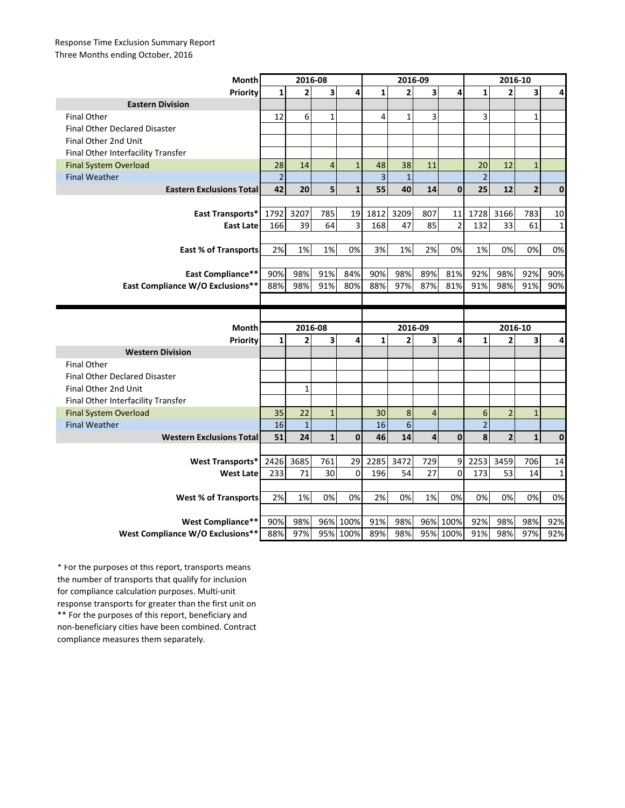## Response Time Exclusion Summary Report Three Months ending October, 2016

| Month                                | 2016-08        |                |                         |              | 2016-09        |                 |                |                      | 2016-10        |                |                         |              |
|--------------------------------------|----------------|----------------|-------------------------|--------------|----------------|-----------------|----------------|----------------------|----------------|----------------|-------------------------|--------------|
| Priority                             | $\mathbf{1}$   | $\overline{2}$ | $\overline{\mathbf{3}}$ | 4            | $\mathbf{1}$   | $\overline{2}$  | 3              | 4                    | $\mathbf{1}$   | $\overline{2}$ | 3                       | 4            |
| <b>Eastern Division</b>              |                |                |                         |              |                |                 |                |                      |                |                |                         |              |
| <b>Final Other</b>                   | 12             | 6              | $\mathbf{1}$            |              | 4              | $\mathbf{1}$    | 3              |                      | 3              |                | 1                       |              |
| <b>Final Other Declared Disaster</b> |                |                |                         |              |                |                 |                |                      |                |                |                         |              |
| Final Other 2nd Unit                 |                |                |                         |              |                |                 |                |                      |                |                |                         |              |
| Final Other Interfacility Transfer   |                |                |                         |              |                |                 |                |                      |                |                |                         |              |
| <b>Final System Overload</b>         | 28             | 14             | $\overline{4}$          | $\mathbf{1}$ | 48             | 38              | 11             |                      | 20             | 12             | $\mathbf{1}$            |              |
| <b>Final Weather</b>                 | $\overline{2}$ |                |                         |              | $\overline{3}$ | $\mathbf{1}$    |                |                      | $\overline{2}$ |                |                         |              |
| <b>Eastern Exclusions Total</b>      | 42             | 20             | 5                       | $\mathbf{1}$ | 55             | 40              | 14             | $\mathbf{0}$         | 25             | 12             | $\overline{\mathbf{c}}$ | $\mathbf 0$  |
|                                      |                |                |                         |              |                |                 |                |                      |                |                |                         |              |
| East Transports*                     | 1792           | 3207           | 785                     | 19           | 1812           | 3209            | 807            | 11                   | 1728           | 3166           | 783                     | 10           |
| <b>East Late</b>                     | 166            | 39             | 64                      | 3            | 168            | 47              | 85             | $\overline{2}$       | 132            | 33             | 61                      | 1            |
|                                      |                |                |                         |              |                |                 |                |                      |                |                |                         |              |
| <b>East % of Transports</b>          | 2%             | 1%             | 1%                      | 0%           | 3%             | 1%              | 2%             | 0%                   | 1%             | 0%             | 0%                      | 0%           |
|                                      |                |                |                         |              |                |                 |                |                      |                |                |                         |              |
| <b>East Compliance**</b>             | 90%            | 98%            | 91%                     | 84%          | 90%            | 98%             | 89%            | 81%                  | 92%            | 98%            | 92%                     | 90%          |
| East Compliance W/O Exclusions**     | 88%            | 98%            | 91%                     | 80%          | 88%            | 97%             | 87%            | 81%                  | 91%            | 98%            | 91%                     | 90%          |
|                                      |                |                |                         |              |                |                 |                |                      |                |                |                         |              |
|                                      |                |                |                         |              |                |                 |                |                      |                |                |                         |              |
|                                      |                |                |                         |              |                |                 |                |                      |                |                |                         |              |
| Month                                |                | 2016-08        |                         |              |                | 2016-09         |                |                      |                | 2016-10        |                         |              |
| Priority                             | $\mathbf{1}$   | $\overline{2}$ | 3                       | 4            | $\mathbf{1}$   | $\overline{2}$  | 3              | 4                    | $\mathbf{1}$   | $\overline{2}$ | 3                       | 4            |
| <b>Western Division</b>              |                |                |                         |              |                |                 |                |                      |                |                |                         |              |
| <b>Final Other</b>                   |                |                |                         |              |                |                 |                |                      |                |                |                         |              |
| <b>Final Other Declared Disaster</b> |                |                |                         |              |                |                 |                |                      |                |                |                         |              |
| Final Other 2nd Unit                 |                | $\mathbf{1}$   |                         |              |                |                 |                |                      |                |                |                         |              |
| Final Other Interfacility Transfer   |                |                |                         |              |                |                 |                |                      |                |                |                         |              |
| <b>Final System Overload</b>         | 35             | 22             | $\mathbf{1}$            |              | 30             | 8               | $\overline{4}$ |                      | 6              | $\overline{2}$ | $\mathbf{1}$            |              |
| <b>Final Weather</b>                 | 16             | $\mathbf{1}$   |                         |              | 16             | $6\phantom{1}6$ |                |                      | $\overline{2}$ |                |                         |              |
| <b>Western Exclusions Total</b>      | 51             | 24             | $\mathbf{1}$            | $\mathbf 0$  | 46             | 14              | 4              | $\mathbf{0}$         | 8              | $\overline{2}$ | $\mathbf{1}$            | $\mathbf{0}$ |
|                                      |                |                |                         |              |                |                 |                |                      |                |                |                         |              |
| <b>West Transports*</b>              | 2426           | 3685           | 761                     | 29           | 2285           | 3472            | 729            | 9                    | 2253           | 3459           | 706                     | 14           |
| <b>West Late</b>                     | 233            | 71             | 30                      | $\Omega$     | 196            | 54              | 27             | $\Omega$             | 173            | 53             | 14                      | $\mathbf{1}$ |
|                                      |                |                |                         |              |                |                 |                |                      |                |                |                         |              |
| <b>West % of Transports</b>          | 2%             | 1%             | 0%                      | 0%           | 2%             | 0%              | 1%             | 0%                   | 0%             | 0%             | 0%                      | 0%           |
|                                      |                |                |                         |              |                |                 |                |                      |                |                |                         |              |
| West Compliance**                    | 90%            | 98%            |                         | 96% 100%     | 91%            | 98%             |                | 96% 100%<br>95% 100% | 92%            | 98%            | 98%                     | 92%          |

\*\* For the purposes of this report, beneficiary and non-beneficiary cities have been combined. Contract compliance measures them separately. \* For the purposes of this report, transports means the number of transports that qualify for inclusion for compliance calculation purposes. Multi-unit response transports for greater than the first unit on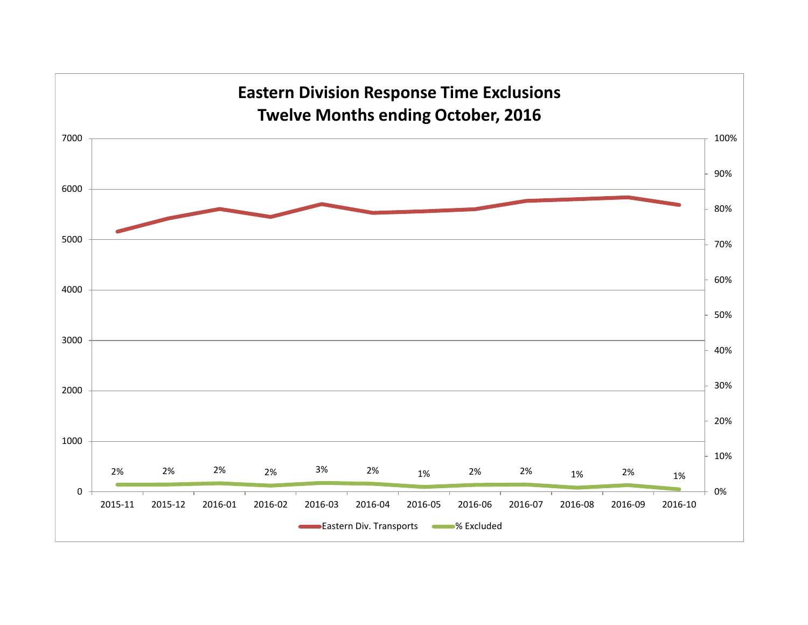